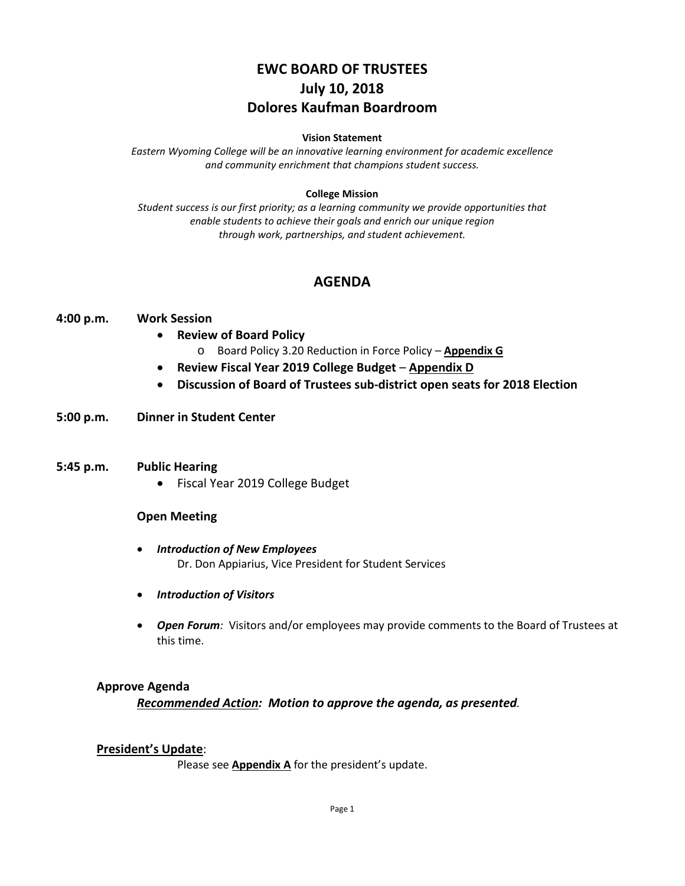# **EWC BOARD OF TRUSTEES July 10, 2018 Dolores Kaufman Boardroom**

#### **Vision Statement**

*Eastern Wyoming College will be an innovative learning environment for academic excellence and community enrichment that champions student success.*

#### **College Mission**

*Student success is our first priority; as a learning community we provide opportunities that enable students to achieve their goals and enrich our unique region through work, partnerships, and student achievement.*

### **AGENDA**

#### **4:00 p.m. Work Session**

- **Review of Board Policy**
	- o Board Policy 3.20 Reduction in Force Policy **Appendix G**
- **Review Fiscal Year 2019 College Budget Appendix D**
- **Discussion of Board of Trustees sub-district open seats for 2018 Election**

### **5:00 p.m. Dinner in Student Center**

#### **5:45 p.m. Public Hearing**

• Fiscal Year 2019 College Budget

#### **Open Meeting**

- *Introduction of New Employees* Dr. Don Appiarius, Vice President for Student Services
- *Introduction of Visitors*
- *Open Forum:* Visitors and/or employees may provide comments to the Board of Trustees at this time.

### **Approve Agenda**

*Recommended Action: Motion to approve the agenda, as presented.*

#### **President's Update**:

Please see **Appendix A** for the president's update.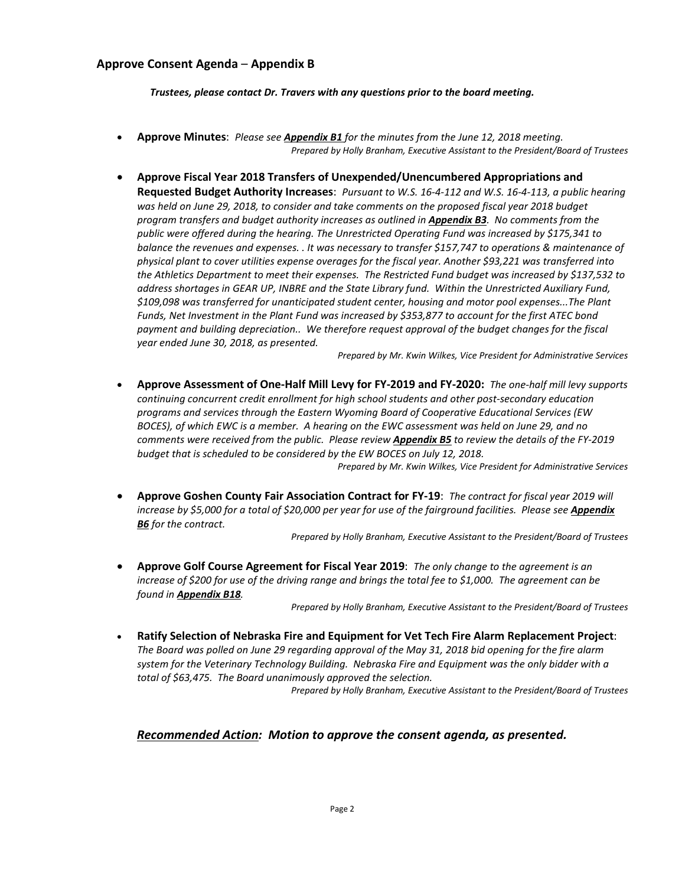### **Approve Consent Agenda** – **Appendix B**

*Trustees, please contact Dr. Travers with any questions prior to the board meeting.*

- **Approve Minutes**: *Please see Appendix B1 for the minutes from the June 12, 2018 meeting. Prepared by Holly Branham, Executive Assistant to the President/Board of Trustees*
- **Approve Fiscal Year 2018 Transfers of Unexpended/Unencumbered Appropriations and Requested Budget Authority Increases**: *Pursuant to W.S. 16-4-112 and W.S. 16-4-113, a public hearing was held on June 29, 2018, to consider and take comments on the proposed fiscal year 2018 budget program transfers and budget authority increases as outlined in Appendix B3. No comments from the public were offered during the hearing. The Unrestricted Operating Fund was increased by \$175,341 to balance the revenues and expenses. . It was necessary to transfer \$157,747 to operations & maintenance of physical plant to cover utilities expense overages for the fiscal year. Another \$93,221 was transferred into the Athletics Department to meet their expenses. The Restricted Fund budget was increased by \$137,532 to address shortages in GEAR UP, INBRE and the State Library fund. Within the Unrestricted Auxiliary Fund, \$109,098 was transferred for unanticipated student center, housing and motor pool expenses...The Plant Funds, Net Investment in the Plant Fund was increased by \$353,877 to account for the first ATEC bond payment and building depreciation.. We therefore request approval of the budget changes for the fiscal year ended June 30, 2018, as presented.*

*Prepared by Mr. Kwin Wilkes, Vice President for Administrative Services*

• **Approve Assessment of One-Half Mill Levy for FY-2019 and FY-2020:** *The one-half mill levy supports continuing concurrent credit enrollment for high school students and other post-secondary education programs and services through the Eastern Wyoming Board of Cooperative Educational Services (EW BOCES), of which EWC is a member. A hearing on the EWC assessment was held on June 29, and no comments were received from the public. Please review Appendix B5 to review the details of the FY-2019 budget that is scheduled to be considered by the EW BOCES on July 12, 2018.*

*Prepared by Mr. Kwin Wilkes, Vice President for Administrative Services*

• **Approve Goshen County Fair Association Contract for FY-19**: *The contract for fiscal year 2019 will increase by \$5,000 for a total of \$20,000 per year for use of the fairground facilities. Please see Appendix B6 for the contract.*

*Prepared by Holly Branham, Executive Assistant to the President/Board of Trustees*

• **Approve Golf Course Agreement for Fiscal Year 2019**: *The only change to the agreement is an increase of \$200 for use of the driving range and brings the total fee to \$1,000. The agreement can be found in Appendix B18.*

*Prepared by Holly Branham, Executive Assistant to the President/Board of Trustees*

• **Ratify Selection of Nebraska Fire and Equipment for Vet Tech Fire Alarm Replacement Project**: *The Board was polled on June 29 regarding approval of the May 31, 2018 bid opening for the fire alarm system for the Veterinary Technology Building. Nebraska Fire and Equipment was the only bidder with a total of \$63,475. The Board unanimously approved the selection.*

*Prepared by Holly Branham, Executive Assistant to the President/Board of Trustees*

### *Recommended Action: Motion to approve the consent agenda, as presented.*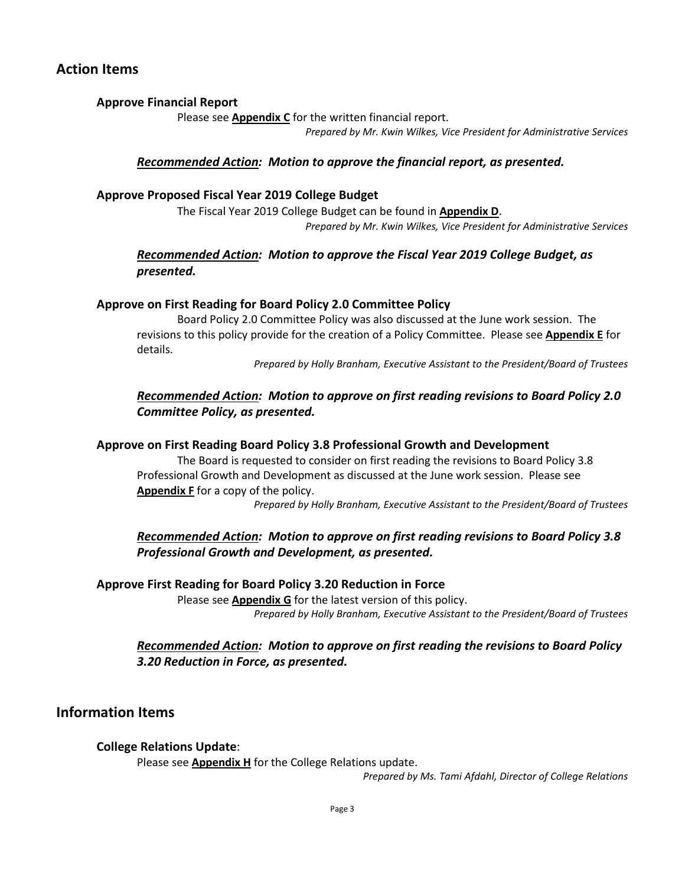# **Action Items**

### **Approve Financial Report**

Please see **Appendix C** for the written financial report.

*Prepared by Mr. Kwin Wilkes, Vice President for Administrative Services*

### *Recommended Action: Motion to approve the financial report, as presented.*

### **Approve Proposed Fiscal Year 2019 College Budget**

The Fiscal Year 2019 College Budget can be found in **Appendix D**. *Prepared by Mr. Kwin Wilkes, Vice President for Administrative Services*

### *Recommended Action: Motion to approve the Fiscal Year 2019 College Budget, as presented.*

### **Approve on First Reading for Board Policy 2.0 Committee Policy**

Board Policy 2.0 Committee Policy was also discussed at the June work session. The revisions to this policy provide for the creation of a Policy Committee. Please see **Appendix E** for details.

*Prepared by Holly Branham, Executive Assistant to the President/Board of Trustees*

### *Recommended Action: Motion to approve on first reading revisions to Board Policy 2.0 Committee Policy, as presented.*

### **Approve on First Reading Board Policy 3.8 Professional Growth and Development**

The Board is requested to consider on first reading the revisions to Board Policy 3.8 Professional Growth and Development as discussed at the June work session. Please see **Appendix F** for a copy of the policy.

*Prepared by Holly Branham, Executive Assistant to the President/Board of Trustees*

### *Recommended Action: Motion to approve on first reading revisions to Board Policy 3.8 Professional Growth and Development, as presented.*

### **Approve First Reading for Board Policy 3.20 Reduction in Force**

Please see **Appendix G** for the latest version of this policy. *Prepared by Holly Branham, Executive Assistant to the President/Board of Trustees*

### *Recommended Action: Motion to approve on first reading the revisions to Board Policy 3.20 Reduction in Force, as presented.*

## **Information Items**

### **College Relations Update**:

Please see **Appendix H** for the College Relations update.

*Prepared by Ms. Tami Afdahl, Director of College Relations*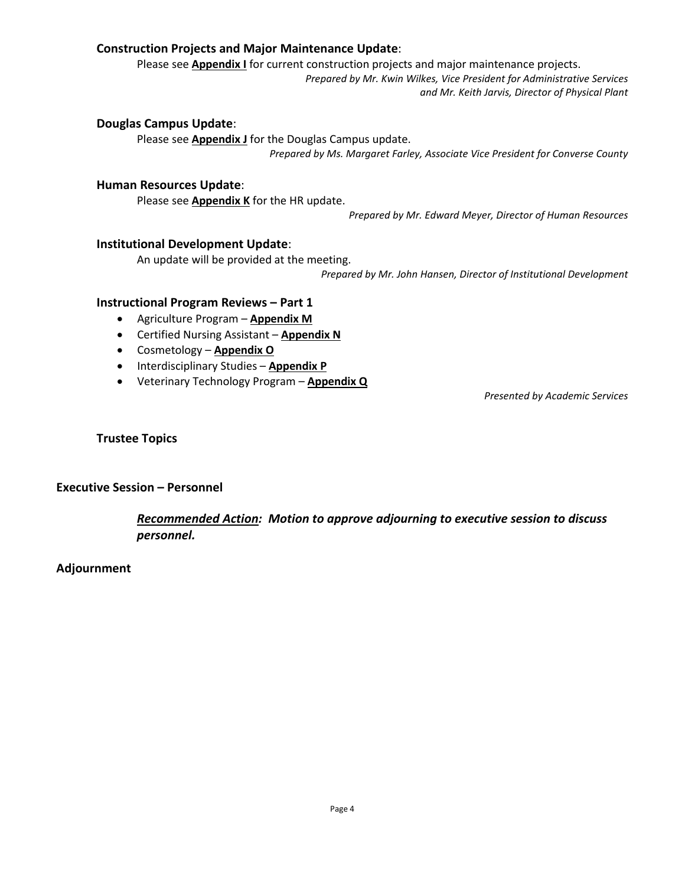### **Construction Projects and Major Maintenance Update**:

Please see **Appendix I** for current construction projects and major maintenance projects.

*Prepared by Mr. Kwin Wilkes, Vice President for Administrative Services and Mr. Keith Jarvis, Director of Physical Plant*

### **Douglas Campus Update**:

Please see **Appendix J** for the Douglas Campus update. *Prepared by Ms. Margaret Farley, Associate Vice President for Converse County*

### **Human Resources Update**:

Please see **Appendix K** for the HR update.

*Prepared by Mr. Edward Meyer, Director of Human Resources*

### **Institutional Development Update**:

An update will be provided at the meeting.

*Prepared by Mr. John Hansen, Director of Institutional Development*

### **Instructional Program Reviews – Part 1**

- Agriculture Program **Appendix M**
- Certified Nursing Assistant **Appendix N**
- Cosmetology **Appendix O**
- Interdisciplinary Studies **Appendix P**
- Veterinary Technology Program **Appendix Q**

*Presented by Academic Services*

### **Trustee Topics**

#### **Executive Session – Personnel**

*Recommended Action: Motion to approve adjourning to executive session to discuss personnel.*

#### **Adjournment**